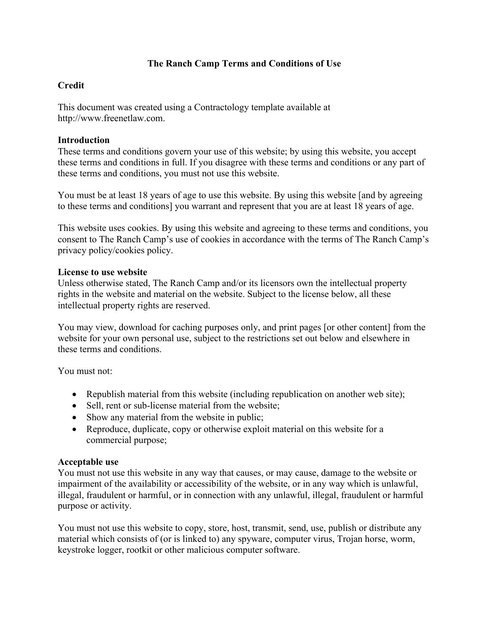# **The Ranch Camp Terms and Conditions of Use**

# **Credit**

This document was created using a Contractology template available at http://www.freenetlaw.com.

### **Introduction**

These terms and conditions govern your use of this website; by using this website, you accept these terms and conditions in full. If you disagree with these terms and conditions or any part of these terms and conditions, you must not use this website.

You must be at least 18 years of age to use this website. By using this website [and by agreeing to these terms and conditions] you warrant and represent that you are at least 18 years of age.

This website uses cookies. By using this website and agreeing to these terms and conditions, you consent to The Ranch Camp's use of cookies in accordance with the terms of The Ranch Camp's privacy policy/cookies policy.

#### **License to use website**

Unless otherwise stated, The Ranch Camp and/or its licensors own the intellectual property rights in the website and material on the website. Subject to the license below, all these intellectual property rights are reserved.

You may view, download for caching purposes only, and print pages [or other content] from the website for your own personal use, subject to the restrictions set out below and elsewhere in these terms and conditions.

You must not:

- Republish material from this website (including republication on another web site);
- Sell, rent or sub-license material from the website:
- Show any material from the website in public;
- Reproduce, duplicate, copy or otherwise exploit material on this website for a commercial purpose;

## **Acceptable use**

You must not use this website in any way that causes, or may cause, damage to the website or impairment of the availability or accessibility of the website, or in any way which is unlawful, illegal, fraudulent or harmful, or in connection with any unlawful, illegal, fraudulent or harmful purpose or activity.

You must not use this website to copy, store, host, transmit, send, use, publish or distribute any material which consists of (or is linked to) any spyware, computer virus, Trojan horse, worm, keystroke logger, rootkit or other malicious computer software.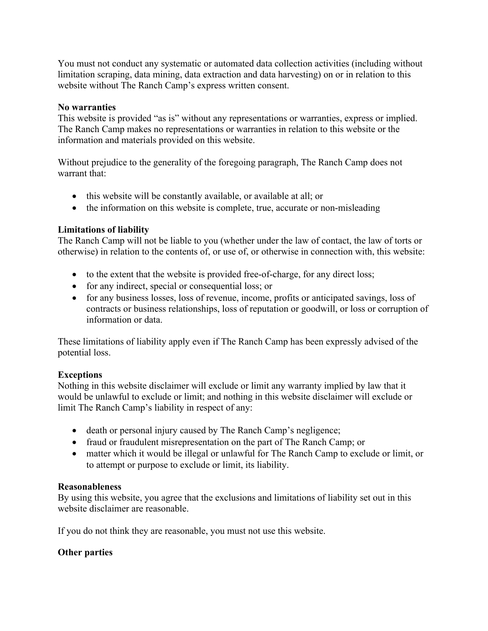You must not conduct any systematic or automated data collection activities (including without limitation scraping, data mining, data extraction and data harvesting) on or in relation to this website without The Ranch Camp's express written consent.

### **No warranties**

This website is provided "as is" without any representations or warranties, express or implied. The Ranch Camp makes no representations or warranties in relation to this website or the information and materials provided on this website.

Without prejudice to the generality of the foregoing paragraph, The Ranch Camp does not warrant that:

- this website will be constantly available, or available at all; or
- the information on this website is complete, true, accurate or non-misleading

## **Limitations of liability**

The Ranch Camp will not be liable to you (whether under the law of contact, the law of torts or otherwise) in relation to the contents of, or use of, or otherwise in connection with, this website:

- to the extent that the website is provided free-of-charge, for any direct loss;
- for any indirect, special or consequential loss; or
- for any business losses, loss of revenue, income, profits or anticipated savings, loss of contracts or business relationships, loss of reputation or goodwill, or loss or corruption of information or data.

These limitations of liability apply even if The Ranch Camp has been expressly advised of the potential loss.

## **Exceptions**

Nothing in this website disclaimer will exclude or limit any warranty implied by law that it would be unlawful to exclude or limit; and nothing in this website disclaimer will exclude or limit The Ranch Camp's liability in respect of any:

- death or personal injury caused by The Ranch Camp's negligence;
- fraud or fraudulent misrepresentation on the part of The Ranch Camp; or
- matter which it would be illegal or unlawful for The Ranch Camp to exclude or limit, or to attempt or purpose to exclude or limit, its liability.

## **Reasonableness**

By using this website, you agree that the exclusions and limitations of liability set out in this website disclaimer are reasonable.

If you do not think they are reasonable, you must not use this website.

## **Other parties**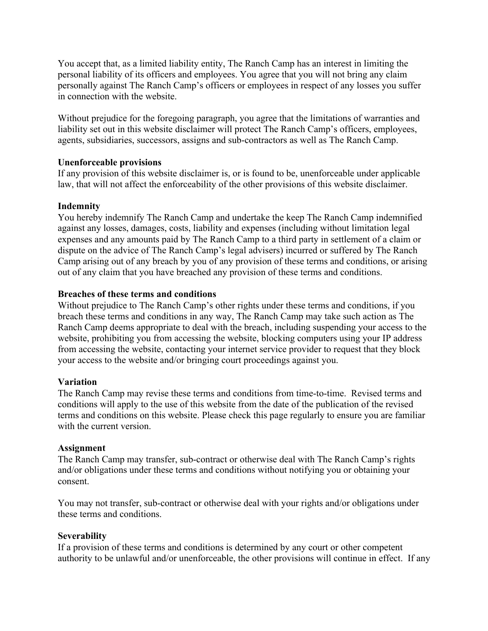You accept that, as a limited liability entity, The Ranch Camp has an interest in limiting the personal liability of its officers and employees. You agree that you will not bring any claim personally against The Ranch Camp's officers or employees in respect of any losses you suffer in connection with the website.

Without prejudice for the foregoing paragraph, you agree that the limitations of warranties and liability set out in this website disclaimer will protect The Ranch Camp's officers, employees, agents, subsidiaries, successors, assigns and sub-contractors as well as The Ranch Camp.

### **Unenforceable provisions**

If any provision of this website disclaimer is, or is found to be, unenforceable under applicable law, that will not affect the enforceability of the other provisions of this website disclaimer.

## **Indemnity**

You hereby indemnify The Ranch Camp and undertake the keep The Ranch Camp indemnified against any losses, damages, costs, liability and expenses (including without limitation legal expenses and any amounts paid by The Ranch Camp to a third party in settlement of a claim or dispute on the advice of The Ranch Camp's legal advisers) incurred or suffered by The Ranch Camp arising out of any breach by you of any provision of these terms and conditions, or arising out of any claim that you have breached any provision of these terms and conditions.

## **Breaches of these terms and conditions**

Without prejudice to The Ranch Camp's other rights under these terms and conditions, if you breach these terms and conditions in any way, The Ranch Camp may take such action as The Ranch Camp deems appropriate to deal with the breach, including suspending your access to the website, prohibiting you from accessing the website, blocking computers using your IP address from accessing the website, contacting your internet service provider to request that they block your access to the website and/or bringing court proceedings against you.

## **Variation**

The Ranch Camp may revise these terms and conditions from time-to-time. Revised terms and conditions will apply to the use of this website from the date of the publication of the revised terms and conditions on this website. Please check this page regularly to ensure you are familiar with the current version.

## **Assignment**

The Ranch Camp may transfer, sub-contract or otherwise deal with The Ranch Camp's rights and/or obligations under these terms and conditions without notifying you or obtaining your consent.

You may not transfer, sub-contract or otherwise deal with your rights and/or obligations under these terms and conditions.

## **Severability**

If a provision of these terms and conditions is determined by any court or other competent authority to be unlawful and/or unenforceable, the other provisions will continue in effect. If any